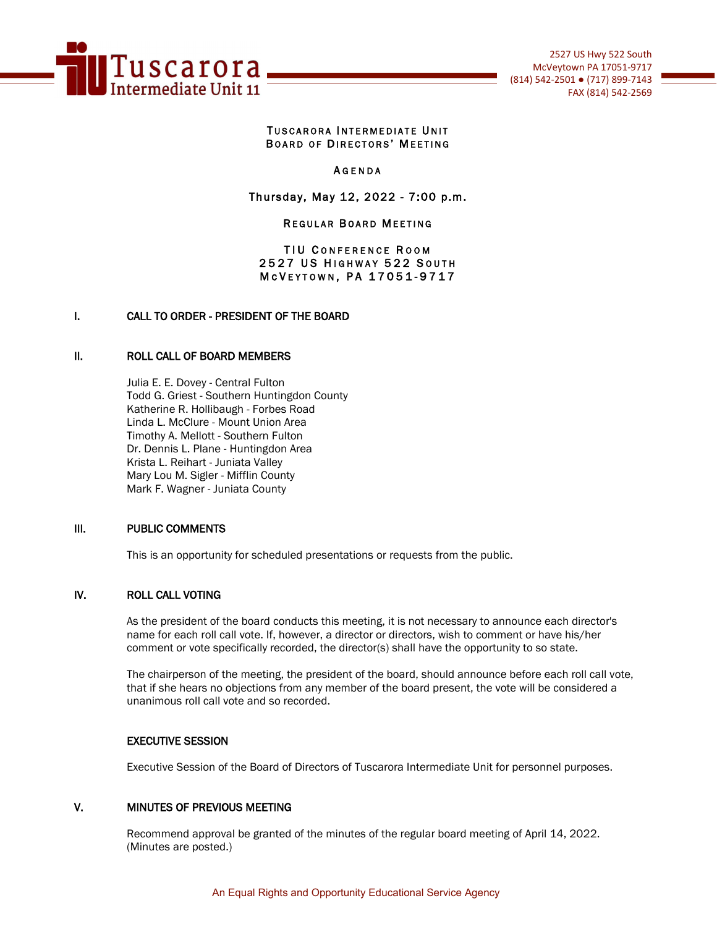

#### TUSCARORA INTERMEDIATE UNIT BOARD OF DIRECTORS' MEETING

### **AGENDA**

## Thursday, May 12, 2022 - 7:00 p.m.

#### **REGULAR BOARD MEETING**

### TIU CONFERENCE ROOM 2527 US HIGHWAY 522 SOUTH M c V E Y T O W N, P A 17051-9717

### I. CALL TO ORDER - PRESIDENT OF THE BOARD

#### II. ROLL CALL OF BOARD MEMBERS

Julia E. E. Dovey - Central Fulton Todd G. Griest - Southern Huntingdon County Katherine R. Hollibaugh - Forbes Road Linda L. McClure - Mount Union Area Timothy A. Mellott - Southern Fulton Dr. Dennis L. Plane - Huntingdon Area Krista L. Reihart - Juniata Valley Mary Lou M. Sigler - Mifflin County Mark F. Wagner - Juniata County

### III. PUBLIC COMMENTS

This is an opportunity for scheduled presentations or requests from the public.

### IV. ROLL CALL VOTING

As the president of the board conducts this meeting, it is not necessary to announce each director's name for each roll call vote. If, however, a director or directors, wish to comment or have his/her comment or vote specifically recorded, the director(s) shall have the opportunity to so state.

The chairperson of the meeting, the president of the board, should announce before each roll call vote, that if she hears no objections from any member of the board present, the vote will be considered a unanimous roll call vote and so recorded.

#### EXECUTIVE SESSION

Executive Session of the Board of Directors of Tuscarora Intermediate Unit for personnel purposes.

### V. MINUTES OF PREVIOUS MEETING

Recommend approval be granted of the minutes of the regular board meeting of April 14, 2022. (Minutes are posted.)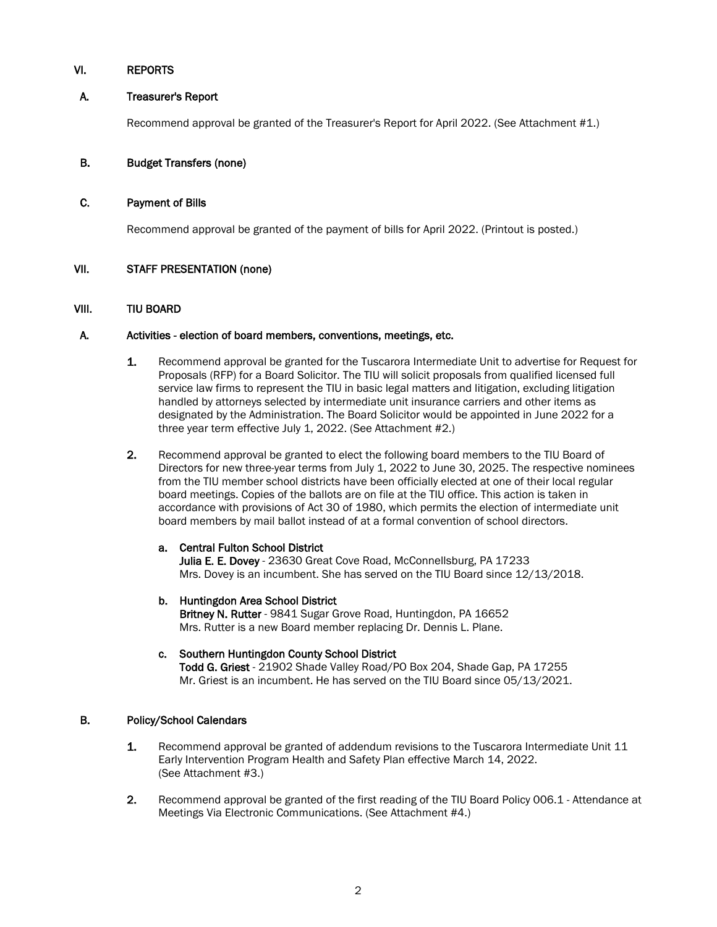## VI. REPORTS

## A. Treasurer's Report

Recommend approval be granted of the Treasurer's Report for April 2022. (See Attachment #1.)

## B. Budget Transfers (none)

## C. Payment of Bills

Recommend approval be granted of the payment of bills for April 2022. (Printout is posted.)

## VII. STAFF PRESENTATION (none)

### VIII. TIU BOARD

### A. Activities - election of board members, conventions, meetings, etc.

- 1. Recommend approval be granted for the Tuscarora Intermediate Unit to advertise for Request for Proposals (RFP) for a Board Solicitor. The TIU will solicit proposals from qualified licensed full service law firms to represent the TIU in basic legal matters and litigation, excluding litigation handled by attorneys selected by intermediate unit insurance carriers and other items as designated by the Administration. The Board Solicitor would be appointed in June 2022 for a three year term effective July 1, 2022. (See Attachment #2.)
- 2. Recommend approval be granted to elect the following board members to the TIU Board of Directors for new three-year terms from July 1, 2022 to June 30, 2025. The respective nominees from the TIU member school districts have been officially elected at one of their local regular board meetings. Copies of the ballots are on file at the TIU office. This action is taken in accordance with provisions of Act 30 of 1980, which permits the election of intermediate unit board members by mail ballot instead of at a formal convention of school directors.

### a. Central Fulton School District

Julia E. E. Dovey - 23630 Great Cove Road, McConnellsburg, PA 17233 Mrs. Dovey is an incumbent. She has served on the TIU Board since 12/13/2018.

- b. Huntingdon Area School District Britney N. Rutter - 9841 Sugar Grove Road, Huntingdon, PA 16652 Mrs. Rutter is a new Board member replacing Dr. Dennis L. Plane.
- c. Southern Huntingdon County School District Todd G. Griest - 21902 Shade Valley Road/PO Box 204, Shade Gap, PA 17255 Mr. Griest is an incumbent. He has served on the TIU Board since 05/13/2021.

### B. Policy/School Calendars

- 1. Recommend approval be granted of addendum revisions to the Tuscarora Intermediate Unit 11 Early Intervention Program Health and Safety Plan effective March 14, 2022. (See Attachment #3.)
- 2. Recommend approval be granted of the first reading of the TIU Board Policy 006.1 Attendance at Meetings Via Electronic Communications. (See Attachment #4.)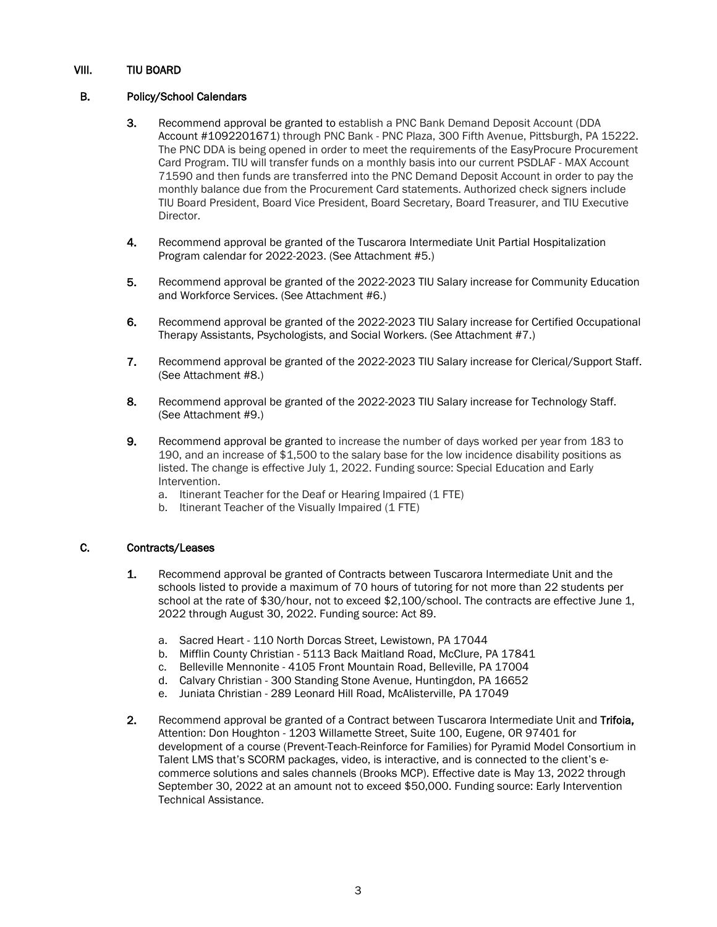## VIII. TIU BOARD

## B. Policy/School Calendars

- 3. Recommend approval be granted to establish a PNC Bank Demand Deposit Account (DDA Account #1092201671) through PNC Bank - PNC Plaza, 300 Fifth Avenue, Pittsburgh, PA 15222. The PNC DDA is being opened in order to meet the requirements of the EasyProcure Procurement Card Program. TIU will transfer funds on a monthly basis into our current PSDLAF - MAX Account 71590 and then funds are transferred into the PNC Demand Deposit Account in order to pay the monthly balance due from the Procurement Card statements. Authorized check signers include TIU Board President, Board Vice President, Board Secretary, Board Treasurer, and TIU Executive Director.
- 4. Recommend approval be granted of the Tuscarora Intermediate Unit Partial Hospitalization Program calendar for 2022-2023. (See Attachment #5.)
- 5. Recommend approval be granted of the 2022-2023 TIU Salary increase for Community Education and Workforce Services. (See Attachment #6.)
- 6. Recommend approval be granted of the 2022-2023 TIU Salary increase for Certified Occupational Therapy Assistants, Psychologists, and Social Workers. (See Attachment #7.)
- 7. Recommend approval be granted of the 2022-2023 TIU Salary increase for Clerical/Support Staff. (See Attachment #8.)
- 8. Recommend approval be granted of the 2022-2023 TIU Salary increase for Technology Staff. (See Attachment #9.)
- 9. Recommend approval be granted to increase the number of days worked per year from 183 to 190, and an increase of \$1,500 to the salary base for the low incidence disability positions as listed. The change is effective July 1, 2022. Funding source: Special Education and Early Intervention.
	- a. Itinerant Teacher for the Deaf or Hearing Impaired (1 FTE)
	- b. Itinerant Teacher of the Visually Impaired (1 FTE)

### C. Contracts/Leases

- 1. Recommend approval be granted of Contracts between Tuscarora Intermediate Unit and the schools listed to provide a maximum of 70 hours of tutoring for not more than 22 students per school at the rate of \$30/hour, not to exceed \$2,100/school. The contracts are effective June 1, 2022 through August 30, 2022. Funding source: Act 89.
	- a. Sacred Heart 110 North Dorcas Street, Lewistown, PA 17044
	- b. Mifflin County Christian 5113 Back Maitland Road, McClure, PA 17841
	- c. Belleville Mennonite 4105 Front Mountain Road, Belleville, PA 17004
	- d. Calvary Christian 300 Standing Stone Avenue, Huntingdon, PA 16652
	- e. Juniata Christian 289 Leonard Hill Road, McAlisterville, PA 17049
- 2. Recommend approval be granted of a Contract between Tuscarora Intermediate Unit and Trifoia, Attention: Don Houghton - 1203 Willamette Street, Suite 100, Eugene, OR 97401 for development of a course (Prevent-Teach-Reinforce for Families) for Pyramid Model Consortium in Talent LMS that's SCORM packages, video, is interactive, and is connected to the client's ecommerce solutions and sales channels (Brooks MCP). Effective date is May 13, 2022 through September 30, 2022 at an amount not to exceed \$50,000. Funding source: Early Intervention Technical Assistance.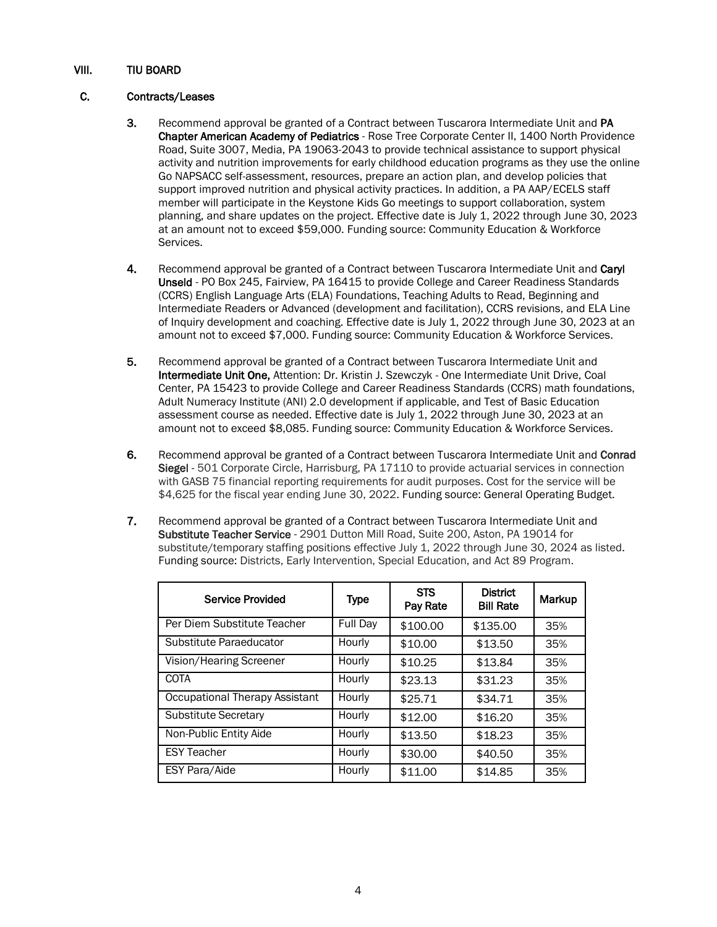## VIII. TIU BOARD

## C. Contracts/Leases

- 3. Recommend approval be granted of a Contract between Tuscarora Intermediate Unit and PA Chapter American Academy of Pediatrics - Rose Tree Corporate Center II, 1400 North Providence Road, Suite 3007, Media, PA 19063-2043 to provide technical assistance to support physical activity and nutrition improvements for early childhood education programs as they use the online Go NAPSACC self-assessment, resources, prepare an action plan, and develop policies that support improved nutrition and physical activity practices. In addition, a PA AAP/ECELS staff member will participate in the Keystone Kids Go meetings to support collaboration, system planning, and share updates on the project. Effective date is July 1, 2022 through June 30, 2023 at an amount not to exceed \$59,000. Funding source: Community Education & Workforce Services.
- 4. Recommend approval be granted of a Contract between Tuscarora Intermediate Unit and Caryl Unseld - PO Box 245, Fairview, PA 16415 to provide College and Career Readiness Standards (CCRS) English Language Arts (ELA) Foundations, Teaching Adults to Read, Beginning and Intermediate Readers or Advanced (development and facilitation), CCRS revisions, and ELA Line of Inquiry development and coaching. Effective date is July 1, 2022 through June 30, 2023 at an amount not to exceed \$7,000. Funding source: Community Education & Workforce Services.
- 5. Recommend approval be granted of a Contract between Tuscarora Intermediate Unit and Intermediate Unit One, Attention: Dr. Kristin J. Szewczyk - One Intermediate Unit Drive, Coal Center, PA 15423 to provide College and Career Readiness Standards (CCRS) math foundations, Adult Numeracy Institute (ANI) 2.0 development if applicable, and Test of Basic Education assessment course as needed. Effective date is July 1, 2022 through June 30, 2023 at an amount not to exceed \$8,085. Funding source: Community Education & Workforce Services.
- 6. Recommend approval be granted of a Contract between Tuscarora Intermediate Unit and Conrad Siegel - 501 Corporate Circle, Harrisburg, PA 17110 to provide actuarial services in connection with GASB 75 financial reporting requirements for audit purposes. Cost for the service will be \$4,625 for the fiscal year ending June 30, 2022. Funding source: General Operating Budget.
- 7. Recommend approval be granted of a Contract between Tuscarora Intermediate Unit and Substitute Teacher Service - 2901 Dutton Mill Road, Suite 200, Aston, PA 19014 for substitute/temporary staffing positions effective July 1, 2022 through June 30, 2024 as listed. Funding source: Districts, Early Intervention, Special Education, and Act 89 Program.

| <b>Service Provided</b>        | <b>Type</b> | <b>STS</b><br>Pay Rate | <b>District</b><br><b>Bill Rate</b> | Markup |
|--------------------------------|-------------|------------------------|-------------------------------------|--------|
| Per Diem Substitute Teacher    | Full Day    | \$100.00               | \$135.00                            | 35%    |
| Substitute Paraeducator        | Hourly      | \$10.00                | \$13.50                             | 35%    |
| Vision/Hearing Screener        | Hourly      | \$10.25                | \$13.84                             | 35%    |
| <b>COTA</b>                    | Hourly      | \$23.13                | \$31.23                             | 35%    |
| Occupational Therapy Assistant | Hourly      | \$25.71                | \$34.71                             | 35%    |
| <b>Substitute Secretary</b>    | Hourly      | \$12.00                | \$16.20                             | 35%    |
| Non-Public Entity Aide         | Hourly      | \$13.50                | \$18.23                             | 35%    |
| <b>ESY Teacher</b>             | Hourly      | \$30.00                | \$40.50                             | 35%    |
| <b>ESY Para/Aide</b>           | Hourly      | \$11.00                | \$14.85                             | 35%    |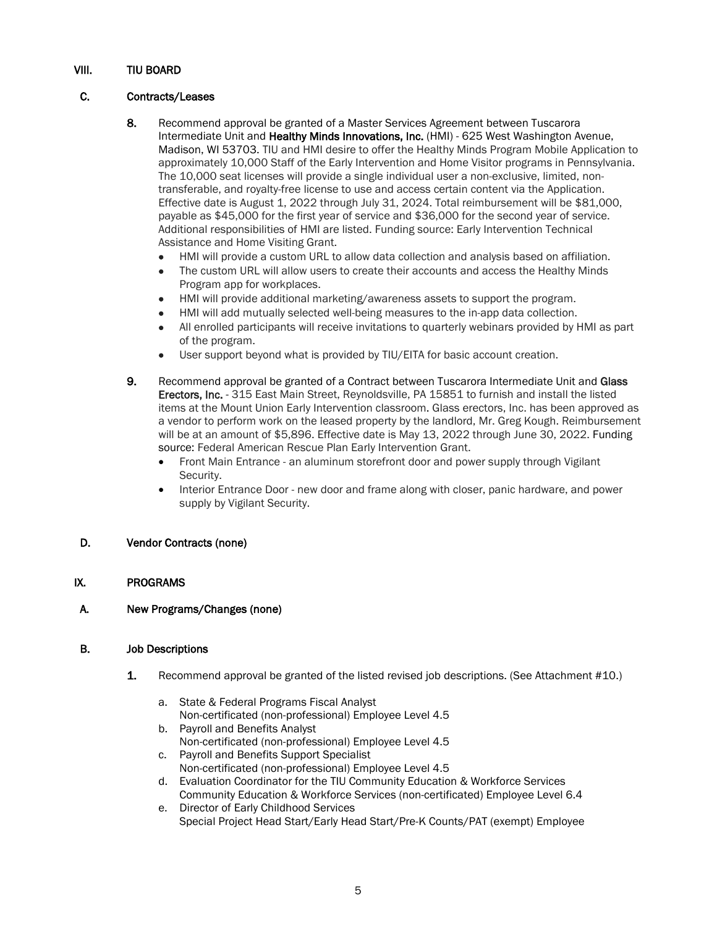## VIII. TIU BOARD

## C. Contracts/Leases

- 8. Recommend approval be granted of a Master Services Agreement between Tuscarora Intermediate Unit and Healthy Minds Innovations, Inc. (HMI) - 625 West Washington Avenue, Madison, WI 53703. TIU and HMI desire to offer the Healthy Minds Program Mobile Application to approximately 10,000 Staff of the Early Intervention and Home Visitor programs in Pennsylvania. The 10,000 seat licenses will provide a single individual user a non-exclusive, limited, nontransferable, and royalty-free license to use and access certain content via the Application. Effective date is August 1, 2022 through July 31, 2024. Total reimbursement will be \$81,000, payable as \$45,000 for the first year of service and \$36,000 for the second year of service. Additional responsibilities of HMI are listed. Funding source: Early Intervention Technical Assistance and Home Visiting Grant.
	- HMI will provide a custom URL to allow data collection and analysis based on affiliation.
	- The custom URL will allow users to create their accounts and access the Healthy Minds Program app for workplaces.
	- HMI will provide additional marketing/awareness assets to support the program.
	- HMI will add mutually selected well-being measures to the in-app data collection.
	- All enrolled participants will receive invitations to quarterly webinars provided by HMI as part of the program.
	- User support beyond what is provided by TIU/EITA for basic account creation.
- 9. Recommend approval be granted of a Contract between Tuscarora Intermediate Unit and Glass Erectors, Inc. - 315 East Main Street, Reynoldsville, PA 15851 to furnish and install the listed items at the Mount Union Early Intervention classroom. Glass erectors, Inc. has been approved as a vendor to perform work on the leased property by the landlord, Mr. Greg Kough. Reimbursement will be at an amount of \$5,896. Effective date is May 13, 2022 through June 30, 2022. Funding source: Federal American Rescue Plan Early Intervention Grant.
	- Front Main Entrance an aluminum storefront door and power supply through Vigilant Security.
	- Interior Entrance Door new door and frame along with closer, panic hardware, and power supply by Vigilant Security.

## D. Vendor Contracts (none)

### IX. PROGRAMS

## A. New Programs/Changes (none)

### B. Job Descriptions

- 1. Recommend approval be granted of the listed revised job descriptions. (See Attachment #10.)
	- a. State & Federal Programs Fiscal Analyst Non-certificated (non-professional) Employee Level 4.5
	- b. Payroll and Benefits Analyst Non-certificated (non-professional) Employee Level 4.5
	- c. Payroll and Benefits Support Specialist Non-certificated (non-professional) Employee Level 4.5
	- d. Evaluation Coordinator for the TIU Community Education & Workforce Services Community Education & Workforce Services (non-certificated) Employee Level 6.4
	- e. Director of Early Childhood Services Special Project Head Start/Early Head Start/Pre-K Counts/PAT (exempt) Employee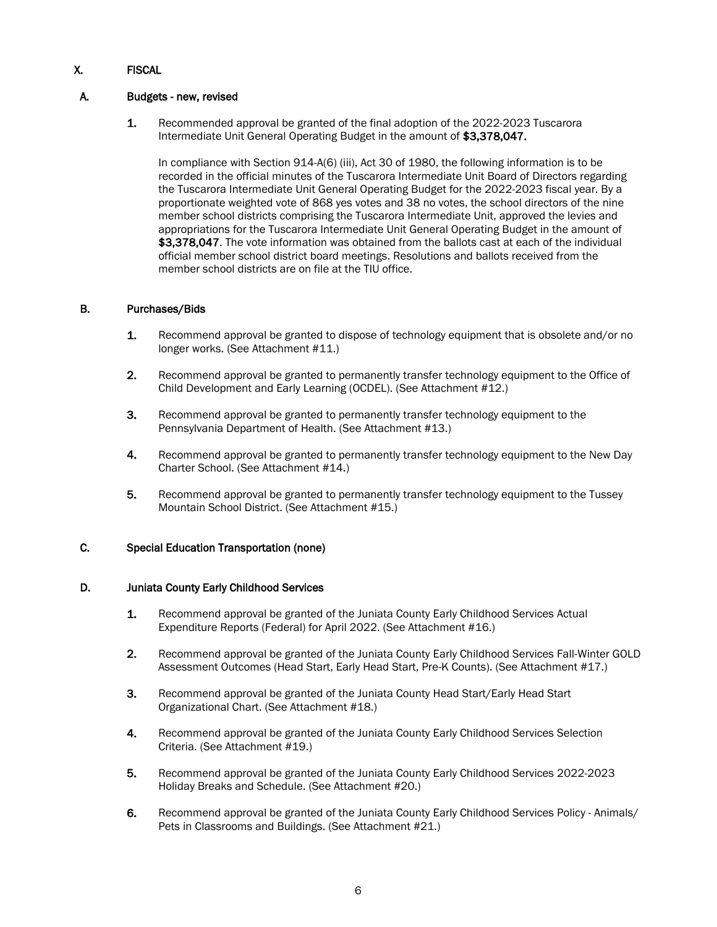# X. FISCAL

## A. Budgets - new, revised

1. Recommended approval be granted of the final adoption of the 2022-2023 Tuscarora Intermediate Unit General Operating Budget in the amount of \$3,378,047.

In compliance with Section 914-A(6) (iii), Act 30 of 1980, the following information is to be recorded in the official minutes of the Tuscarora Intermediate Unit Board of Directors regarding the Tuscarora Intermediate Unit General Operating Budget for the 2022-2023 fiscal year. By a proportionate weighted vote of 868 yes votes and 38 no votes, the school directors of the nine member school districts comprising the Tuscarora Intermediate Unit, approved the levies and appropriations for the Tuscarora Intermediate Unit General Operating Budget in the amount of \$3,378,047. The vote information was obtained from the ballots cast at each of the individual official member school district board meetings. Resolutions and ballots received from the member school districts are on file at the TIU office.

## B. Purchases/Bids

- 1. Recommend approval be granted to dispose of technology equipment that is obsolete and/or no longer works. (See Attachment #11.)
- 2. Recommend approval be granted to permanently transfer technology equipment to the Office of Child Development and Early Learning (OCDEL). (See Attachment #12.)
- 3. Recommend approval be granted to permanently transfer technology equipment to the Pennsylvania Department of Health. (See Attachment #13.)
- 4. Recommend approval be granted to permanently transfer technology equipment to the New Day Charter School. (See Attachment #14.)
- 5. Recommend approval be granted to permanently transfer technology equipment to the Tussey Mountain School District. (See Attachment #15.)

## C. Special Education Transportation (none)

### D. Juniata County Early Childhood Services

- 1. Recommend approval be granted of the Juniata County Early Childhood Services Actual Expenditure Reports (Federal) for April 2022. (See Attachment #16.)
- 2. Recommend approval be granted of the Juniata County Early Childhood Services Fall-Winter GOLD Assessment Outcomes (Head Start, Early Head Start, Pre-K Counts). (See Attachment #17.)
- 3. Recommend approval be granted of the Juniata County Head Start/Early Head Start Organizational Chart. (See Attachment #18.)
- 4. Recommend approval be granted of the Juniata County Early Childhood Services Selection Criteria. (See Attachment #19.)
- 5. Recommend approval be granted of the Juniata County Early Childhood Services 2022-2023 Holiday Breaks and Schedule. (See Attachment #20.)
- 6. Recommend approval be granted of the Juniata County Early Childhood Services Policy Animals/ Pets in Classrooms and Buildings. (See Attachment #21.)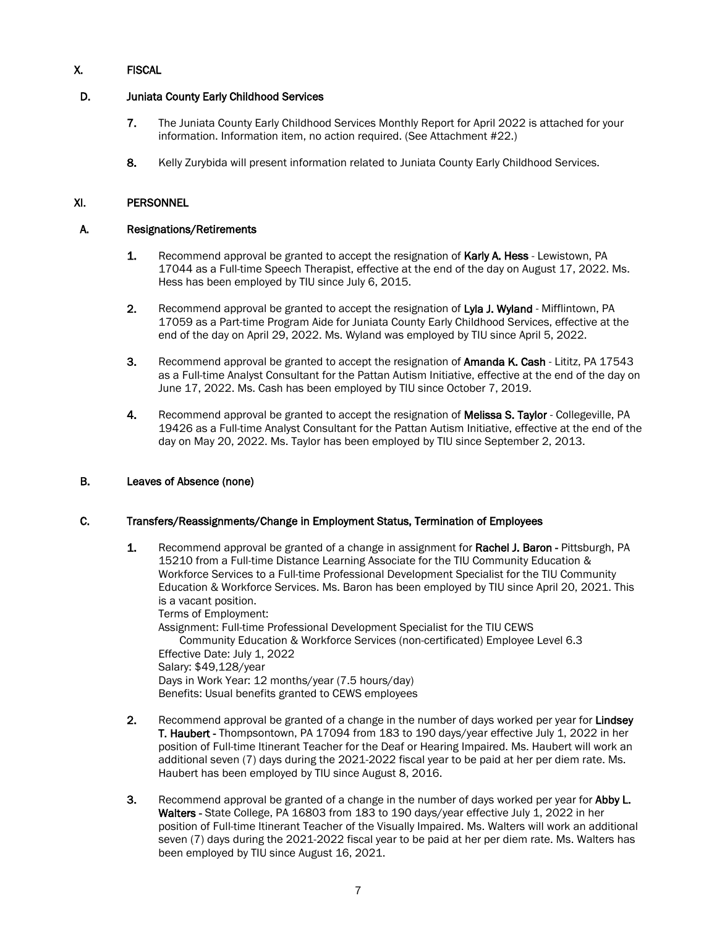# X. FISCAL

## D. Juniata County Early Childhood Services

- 7. The Juniata County Early Childhood Services Monthly Report for April 2022 is attached for your information. Information item, no action required. (See Attachment #22.)
- 8. Kelly Zurybida will present information related to Juniata County Early Childhood Services.

## XI. PERSONNEL

### A. Resignations/Retirements

- 1. Recommend approval be granted to accept the resignation of Karly A. Hess Lewistown, PA 17044 as a Full-time Speech Therapist, effective at the end of the day on August 17, 2022. Ms. Hess has been employed by TIU since July 6, 2015.
- 2. Recommend approval be granted to accept the resignation of Lyla J. Wyland Mifflintown, PA 17059 as a Part-time Program Aide for Juniata County Early Childhood Services, effective at the end of the day on April 29, 2022. Ms. Wyland was employed by TIU since April 5, 2022.
- 3. Recommend approval be granted to accept the resignation of Amanda K. Cash Lititz, PA 17543 as a Full-time Analyst Consultant for the Pattan Autism Initiative, effective at the end of the day on June 17, 2022. Ms. Cash has been employed by TIU since October 7, 2019.
- 4. Recommend approval be granted to accept the resignation of Melissa S. Taylor Collegeville. PA 19426 as a Full-time Analyst Consultant for the Pattan Autism Initiative, effective at the end of the day on May 20, 2022. Ms. Taylor has been employed by TIU since September 2, 2013.

### B. Leaves of Absence (none)

### C. Transfers/Reassignments/Change in Employment Status, Termination of Employees

- 1. Recommend approval be granted of a change in assignment for Rachel J. Baron Pittsburgh, PA 15210 from a Full-time Distance Learning Associate for the TIU Community Education & Workforce Services to a Full-time Professional Development Specialist for the TIU Community Education & Workforce Services. Ms. Baron has been employed by TIU since April 20, 2021. This is a vacant position. Terms of Employment: Assignment: Full-time Professional Development Specialist for the TIU CEWS Community Education & Workforce Services (non-certificated) Employee Level 6.3 Effective Date: July 1, 2022 Salary: \$49,128/year Days in Work Year: 12 months/year (7.5 hours/day) Benefits: Usual benefits granted to CEWS employees
- 2. Recommend approval be granted of a change in the number of days worked per year for Lindsey T. Haubert - Thompsontown, PA 17094 from 183 to 190 days/year effective July 1, 2022 in her position of Full-time Itinerant Teacher for the Deaf or Hearing Impaired. Ms. Haubert will work an additional seven (7) days during the 2021-2022 fiscal year to be paid at her per diem rate. Ms. Haubert has been employed by TIU since August 8, 2016.
- 3. Recommend approval be granted of a change in the number of days worked per year for Abby L. Walters - State College, PA 16803 from 183 to 190 days/year effective July 1, 2022 in her position of Full-time Itinerant Teacher of the Visually Impaired. Ms. Walters will work an additional seven (7) days during the 2021-2022 fiscal year to be paid at her per diem rate. Ms. Walters has been employed by TIU since August 16, 2021.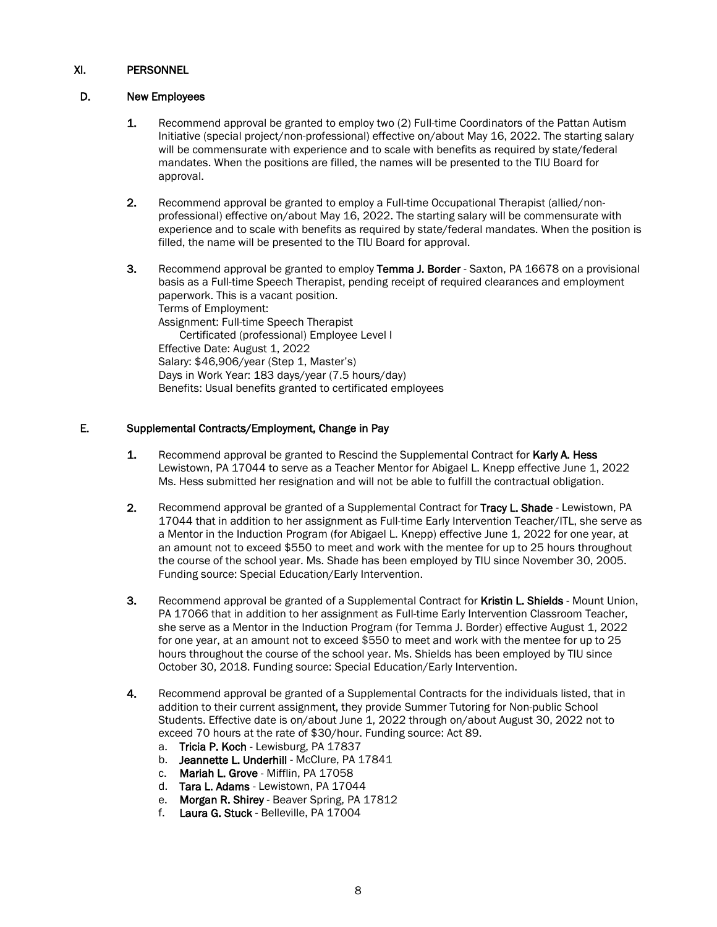## XI. PERSONNEL

## D. New Employees

- 1. Recommend approval be granted to employ two (2) Full-time Coordinators of the Pattan Autism Initiative (special project/non-professional) effective on/about May 16, 2022. The starting salary will be commensurate with experience and to scale with benefits as required by state/federal mandates. When the positions are filled, the names will be presented to the TIU Board for approval.
- 2. Recommend approval be granted to employ a Full-time Occupational Therapist (allied/nonprofessional) effective on/about May 16, 2022. The starting salary will be commensurate with experience and to scale with benefits as required by state/federal mandates. When the position is filled, the name will be presented to the TIU Board for approval.
- 3. Recommend approval be granted to employ Temma J. Border Saxton, PA 16678 on a provisional basis as a Full-time Speech Therapist, pending receipt of required clearances and employment paperwork. This is a vacant position. Terms of Employment: Assignment: Full-time Speech Therapist Certificated (professional) Employee Level I Effective Date: August 1, 2022 Salary: \$46,906/year (Step 1, Master's) Days in Work Year: 183 days/year (7.5 hours/day) Benefits: Usual benefits granted to certificated employees

## E. Supplemental Contracts/Employment, Change in Pay

- **1.** Recommend approval be granted to Rescind the Supplemental Contract for Karly A. Hess Lewistown, PA 17044 to serve as a Teacher Mentor for Abigael L. Knepp effective June 1, 2022 Ms. Hess submitted her resignation and will not be able to fulfill the contractual obligation.
- 2. Recommend approval be granted of a Supplemental Contract for Tracy L. Shade Lewistown, PA 17044 that in addition to her assignment as Full-time Early Intervention Teacher/ITL, she serve as a Mentor in the Induction Program (for Abigael L. Knepp) effective June 1, 2022 for one year, at an amount not to exceed \$550 to meet and work with the mentee for up to 25 hours throughout the course of the school year. Ms. Shade has been employed by TIU since November 30, 2005. Funding source: Special Education/Early Intervention.
- 3. Recommend approval be granted of a Supplemental Contract for Kristin L. Shields Mount Union, PA 17066 that in addition to her assignment as Full-time Early Intervention Classroom Teacher, she serve as a Mentor in the Induction Program (for Temma J. Border) effective August 1, 2022 for one year, at an amount not to exceed \$550 to meet and work with the mentee for up to 25 hours throughout the course of the school year. Ms. Shields has been employed by TIU since October 30, 2018. Funding source: Special Education/Early Intervention.
- 4. Recommend approval be granted of a Supplemental Contracts for the individuals listed, that in addition to their current assignment, they provide Summer Tutoring for Non-public School Students. Effective date is on/about June 1, 2022 through on/about August 30, 2022 not to exceed 70 hours at the rate of \$30/hour. Funding source: Act 89.
	- a. Tricia P. Koch Lewisburg, PA 17837
	- b. Jeannette L. Underhill McClure, PA 17841
	- c. Mariah L. Grove Mifflin, PA 17058
	- d. Tara L. Adams Lewistown, PA 17044
	- e. Morgan R. Shirey Beaver Spring, PA 17812
	- f. Laura G. Stuck Belleville, PA 17004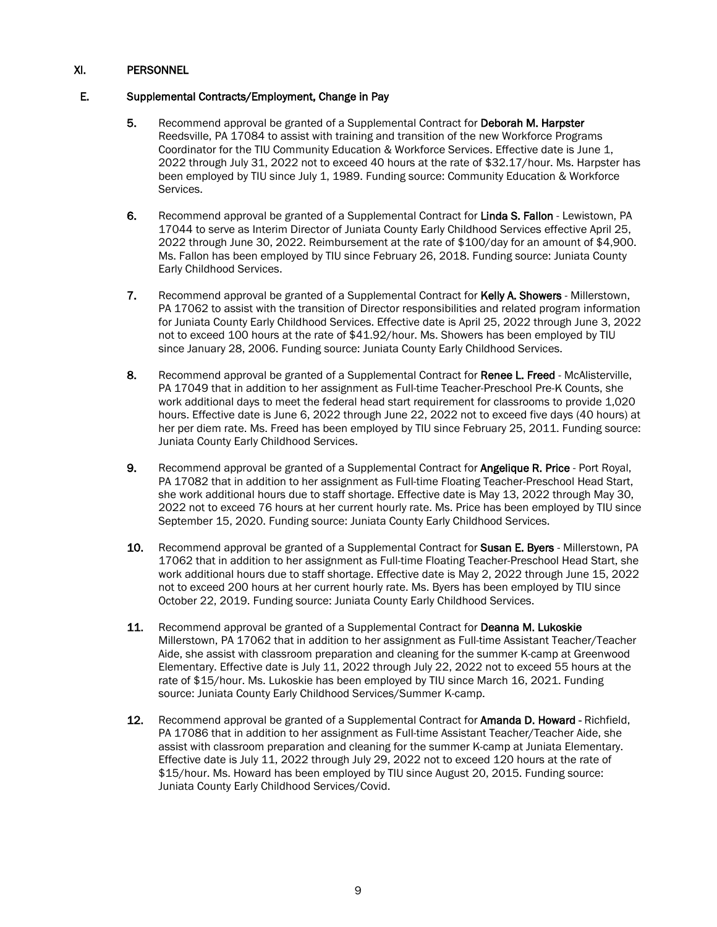## XI. PERSONNEL

## E. Supplemental Contracts/Employment, Change in Pay

- 5. Recommend approval be granted of a Supplemental Contract for Deborah M. Harpster Reedsville, PA 17084 to assist with training and transition of the new Workforce Programs Coordinator for the TIU Community Education & Workforce Services. Effective date is June 1, 2022 through July 31, 2022 not to exceed 40 hours at the rate of \$32.17/hour. Ms. Harpster has been employed by TIU since July 1, 1989. Funding source: Community Education & Workforce Services.
- 6. Recommend approval be granted of a Supplemental Contract for Linda S. Fallon Lewistown, PA 17044 to serve as Interim Director of Juniata County Early Childhood Services effective April 25, 2022 through June 30, 2022. Reimbursement at the rate of \$100/day for an amount of \$4,900. Ms. Fallon has been employed by TIU since February 26, 2018. Funding source: Juniata County Early Childhood Services.
- 7. Recommend approval be granted of a Supplemental Contract for Kelly A. Showers Millerstown, PA 17062 to assist with the transition of Director responsibilities and related program information for Juniata County Early Childhood Services. Effective date is April 25, 2022 through June 3, 2022 not to exceed 100 hours at the rate of \$41.92/hour. Ms. Showers has been employed by TIU since January 28, 2006. Funding source: Juniata County Early Childhood Services.
- 8. Recommend approval be granted of a Supplemental Contract for Renee L. Freed McAlisterville, PA 17049 that in addition to her assignment as Full-time Teacher-Preschool Pre-K Counts, she work additional days to meet the federal head start requirement for classrooms to provide 1,020 hours. Effective date is June 6, 2022 through June 22, 2022 not to exceed five days (40 hours) at her per diem rate. Ms. Freed has been employed by TIU since February 25, 2011. Funding source: Juniata County Early Childhood Services.
- 9. Recommend approval be granted of a Supplemental Contract for **Angelique R. Price** Port Royal, PA 17082 that in addition to her assignment as Full-time Floating Teacher-Preschool Head Start, she work additional hours due to staff shortage. Effective date is May 13, 2022 through May 30, 2022 not to exceed 76 hours at her current hourly rate. Ms. Price has been employed by TIU since September 15, 2020. Funding source: Juniata County Early Childhood Services.
- 10. Recommend approval be granted of a Supplemental Contract for Susan E. Byers Millerstown, PA 17062 that in addition to her assignment as Full-time Floating Teacher-Preschool Head Start, she work additional hours due to staff shortage. Effective date is May 2, 2022 through June 15, 2022 not to exceed 200 hours at her current hourly rate. Ms. Byers has been employed by TIU since October 22, 2019. Funding source: Juniata County Early Childhood Services.
- 11. Recommend approval be granted of a Supplemental Contract for **Deanna M. Lukoskie** Millerstown, PA 17062 that in addition to her assignment as Full-time Assistant Teacher/Teacher Aide, she assist with classroom preparation and cleaning for the summer K-camp at Greenwood Elementary. Effective date is July 11, 2022 through July 22, 2022 not to exceed 55 hours at the rate of \$15/hour. Ms. Lukoskie has been employed by TIU since March 16, 2021. Funding source: Juniata County Early Childhood Services/Summer K-camp.
- 12. Recommend approval be granted of a Supplemental Contract for Amanda D. Howard Richfield, PA 17086 that in addition to her assignment as Full-time Assistant Teacher/Teacher Aide, she assist with classroom preparation and cleaning for the summer K-camp at Juniata Elementary. Effective date is July 11, 2022 through July 29, 2022 not to exceed 120 hours at the rate of \$15/hour. Ms. Howard has been employed by TIU since August 20, 2015. Funding source: Juniata County Early Childhood Services/Covid.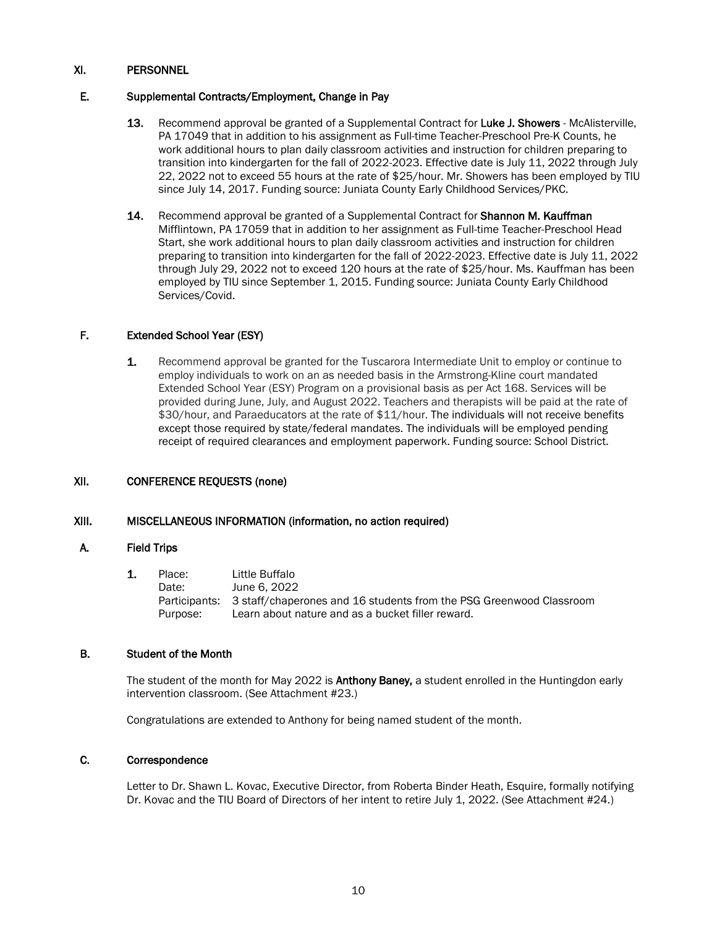## XI. PERSONNEL

## E. Supplemental Contracts/Employment, Change in Pay

- 13. Recommend approval be granted of a Supplemental Contract for Luke J. Showers McAlisterville, PA 17049 that in addition to his assignment as Full-time Teacher-Preschool Pre-K Counts, he work additional hours to plan daily classroom activities and instruction for children preparing to transition into kindergarten for the fall of 2022-2023. Effective date is July 11, 2022 through July 22, 2022 not to exceed 55 hours at the rate of \$25/hour. Mr. Showers has been employed by TIU since July 14, 2017. Funding source: Juniata County Early Childhood Services/PKC.
- 14. Recommend approval be granted of a Supplemental Contract for **Shannon M. Kauffman** Mifflintown, PA 17059 that in addition to her assignment as Full-time Teacher-Preschool Head Start, she work additional hours to plan daily classroom activities and instruction for children preparing to transition into kindergarten for the fall of 2022-2023. Effective date is July 11, 2022 through July 29, 2022 not to exceed 120 hours at the rate of \$25/hour. Ms. Kauffman has been employed by TIU since September 1, 2015. Funding source: Juniata County Early Childhood Services/Covid.

## F. Extended School Year (ESY)

1. Recommend approval be granted for the Tuscarora Intermediate Unit to employ or continue to employ individuals to work on an as needed basis in the Armstrong-Kline court mandated Extended School Year (ESY) Program on a provisional basis as per Act 168. Services will be provided during June, July, and August 2022. Teachers and therapists will be paid at the rate of \$30/hour, and Paraeducators at the rate of \$11/hour. The individuals will not receive benefits except those required by state/federal mandates. The individuals will be employed pending receipt of required clearances and employment paperwork. Funding source: School District.

## XII. CONFERENCE REQUESTS (none)

## XIII. MISCELLANEOUS INFORMATION (information, no action required)

### A. Field Trips

| Place:   | Little Buffalo                                                                    |
|----------|-----------------------------------------------------------------------------------|
| Date:    | June 6, 2022                                                                      |
|          | Participants: 3 staff/chaperones and 16 students from the PSG Greenwood Classroom |
| Purpose: | Learn about nature and as a bucket filler reward.                                 |

### B. Student of the Month

The student of the month for May 2022 is **Anthony Baney**, a student enrolled in the Huntingdon early intervention classroom. (See Attachment #23.)

Congratulations are extended to Anthony for being named student of the month.

### C. Correspondence

Letter to Dr. Shawn L. Kovac, Executive Director, from Roberta Binder Heath, Esquire, formally notifying Dr. Kovac and the TIU Board of Directors of her intent to retire July 1, 2022. (See Attachment #24.)